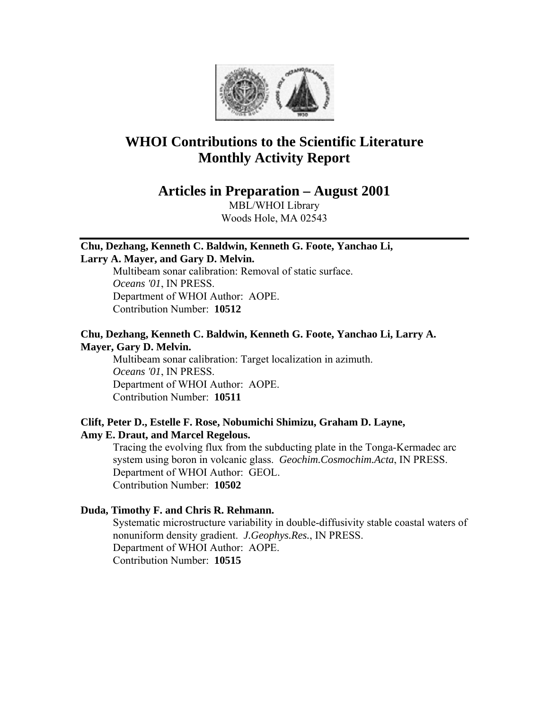

# **WHOI Contributions to the Scientific Literature Monthly Activity Report**

## **Articles in Preparation – August 2001**

MBL/WHOI Library Woods Hole, MA 02543

## **Chu, Dezhang, Kenneth C. Baldwin, Kenneth G. Foote, Yanchao Li,**

## **Larry A. Mayer, and Gary D. Melvin.**

Multibeam sonar calibration: Removal of static surface. *Oceans '01*, IN PRESS. Department of WHOI Author: AOPE. Contribution Number: **10512**

## **Chu, Dezhang, Kenneth C. Baldwin, Kenneth G. Foote, Yanchao Li, Larry A. Mayer, Gary D. Melvin.**

Multibeam sonar calibration: Target localization in azimuth. *Oceans '01*, IN PRESS. Department of WHOI Author: AOPE. Contribution Number: **10511**

#### **Clift, Peter D., Estelle F. Rose, Nobumichi Shimizu, Graham D. Layne, Amy E. Draut, and Marcel Regelous.**

Tracing the evolving flux from the subducting plate in the Tonga-Kermadec arc system using boron in volcanic glass. *Geochim.Cosmochim.Acta*, IN PRESS. Department of WHOI Author: GEOL. Contribution Number: **10502**

## **Duda, Timothy F. and Chris R. Rehmann.**

Systematic microstructure variability in double-diffusivity stable coastal waters of nonuniform density gradient. *J.Geophys.Res.*, IN PRESS. Department of WHOI Author: AOPE. Contribution Number: **10515**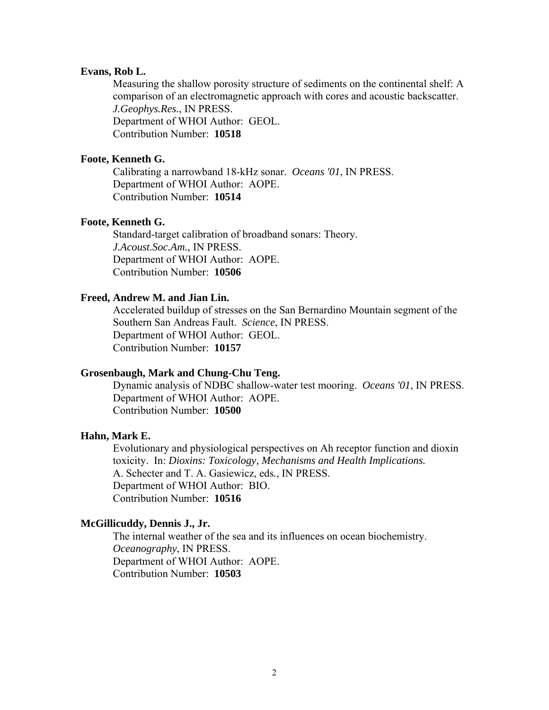#### **Evans, Rob L.**

Measuring the shallow porosity structure of sediments on the continental shelf: A comparison of an electromagnetic approach with cores and acoustic backscatter. *J.Geophys.Res.*, IN PRESS. Department of WHOI Author: GEOL. Contribution Number: **10518**

#### **Foote, Kenneth G.**

Calibrating a narrowband 18-kHz sonar. *Oceans '01*, IN PRESS. Department of WHOI Author: AOPE. Contribution Number: **10514**

#### **Foote, Kenneth G.**

Standard-target calibration of broadband sonars: Theory. *J.Acoust.Soc.Am.*, IN PRESS. Department of WHOI Author: AOPE. Contribution Number: **10506**

#### **Freed, Andrew M. and Jian Lin.**

Accelerated buildup of stresses on the San Bernardino Mountain segment of the Southern San Andreas Fault. *Science*, IN PRESS. Department of WHOI Author: GEOL. Contribution Number: **10157**

#### **Grosenbaugh, Mark and Chung-Chu Teng.**

Dynamic analysis of NDBC shallow-water test mooring. *Oceans '01*, IN PRESS. Department of WHOI Author: AOPE. Contribution Number: **10500**

## **Hahn, Mark E.**

Evolutionary and physiological perspectives on Ah receptor function and dioxin toxicity. In: *Dioxins: Toxicology, Mechanisms and Health Implications.*  A. Schecter and T. A. Gasiewicz, eds*.*, IN PRESS. Department of WHOI Author: BIO. Contribution Number: **10516**

## **McGillicuddy, Dennis J., Jr.**

The internal weather of the sea and its influences on ocean biochemistry. *Oceanography*, IN PRESS. Department of WHOI Author: AOPE. Contribution Number: **10503**